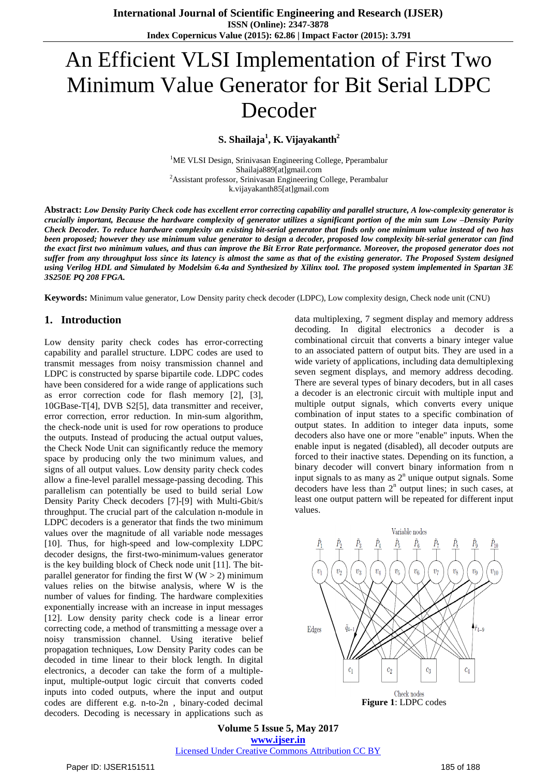# An Efficient VLSI Implementation of First Two Minimum Value Generator for Bit Serial LDPC Decoder

**S. Shailaja<sup>1</sup> , K. Vijayakanth<sup>2</sup>**

<sup>1</sup>ME VLSI Design, Srinivasan Engineering College, Pperambalur Shailaja889[at]gmail.com <sup>2</sup>Assistant professor, Srinivasan Engineering College, Perambalur k.vijayakanth85[at]gmail.com

Abstract: Low Density Parity Check code has excellent error correcting capability and parallel structure, A low-complexity generator is crucially important. Because the hardware complexity of generator utilizes a significant portion of the min sum Low -Density Parity Check Decoder. To reduce hardware complexity an existing bit-serial generator that finds only one minimum value instead of two has been proposed; however they use minimum value generator to design a decoder, proposed low complexity bit-serial generator can find the exact first two minimum values, and thus can improve the Bit Error Rate performance. Moreover, the proposed generator does not suffer from any throughput loss since its latency is almost the same as that of the existing generator. The Proposed System designed using Verilog HDL and Simulated by Modelsim 6.4a and Synthesized by Xilinx tool. The proposed system implemented in Spartan 3E *3S250E PQ 208 FPGA.*

**Keywords:** Minimum value generator, Low Density parity check decoder (LDPC), Low complexity design, Check node unit (CNU)

### **1. Introduction**

Low density parity check codes has error-correcting capability and parallel structure. LDPC codes are used to transmit messages from noisy transmission channel and LDPC is constructed by sparse bipartile code. LDPC codes have been considered for a wide range of applications such as error correction code for flash memory [2], [3], 10GBase-T[4], DVB S2[5], data transmitter and receiver, error correction, error reduction. In min-sum algorithm, the check-node unit is used for row operations to produce the outputs. Instead of producing the actual output values, the Check Node Unit can significantly reduce the memory space by producing only the two minimum values, and signs of all output values. Low density parity check codes allow a fine-level parallel message-passing decoding. This parallelism can potentially be used to build serial Low Density Parity Check decoders [7]-[9] with Multi-Gbit/s throughput. The crucial part of the calculation n-module in LDPC decoders is a generator that finds the two minimum values over the magnitude of all variable node messages [10]. Thus, for high-speed and low-complexity LDPC decoder designs, the first-two-minimum-values generator is the key building block of Check node unit [11]. The bitparallel generator for finding the first  $W(W > 2)$  minimum values relies on the bitwise analysis, where W is the number of values for finding. The hardware complexities exponentially increase with an increase in input messages [12]. Low density parity check code is a linear error correcting code, a method of transmitting a message over a noisy transmission channel. Using iterative belief propagation techniques, Low Density Parity codes can be decoded in time linear to their block length. In digital electronics, a decoder can take the form of a multipleinput, multiple-output logic circuit that converts coded inputs into coded outputs, where the input and output codes are different e.g. n-to-2n , binary-coded decimal decoders. Decoding is necessary in applications such as

data multiplexing, 7 segment display and memory address decoding. In digital electronics a decoder is a combinational circuit that converts a binary integer value to an associated pattern of output bits. They are used in a wide variety of applications, including data demultiplexing seven segment displays, and memory address decoding. There are several types of binary decoders, but in all cases a decoder is an electronic circuit with multiple input and multiple output signals, which converts every unique combination of input states to a specific combination of output states. In addition to integer data inputs, some decoders also have one or more "enable" inputs. When the enable input is negated (disabled), all decoder outputs are forced to their inactive states. Depending on its function, a binary decoder will convert binary information from n input signals to as many as  $2<sup>n</sup>$  unique output signals. Some decoders have less than  $2<sup>n</sup>$  output lines; in such cases, at least one output pattern will be repeated for different input values.



**Volume 5 Issue 5, May 2017 www.ijser.in** Licensed Under Creative Commons Attribution CC BY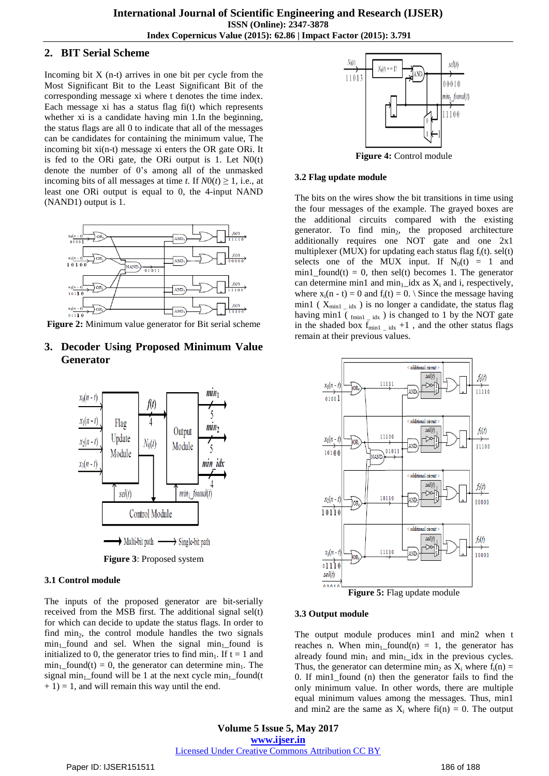### **2. BIT Serial Scheme**

Incoming bit  $X$  (n-t) arrives in one bit per cycle from the Most Significant Bit to the Least Significant Bit of the corresponding message xi where t denotes the time index. Each message xi has a status flag fi(t) which represents whether xi is a candidate having min 1.In the beginning, the status flags are all 0 to indicate that all of the messages can be candidates for containing the minimum value, The incoming bit xi(n-t) message xi enters the OR gate ORi. It is fed to the ORi gate, the ORi output is 1. Let  $N0(t)$ denote the number of 0's among all of the unmasked incoming bits of all messages at time *t*. If  $N0(t) \ge 1$ , i.e., at least one ORi output is equal to 0, the 4-input NAND (NAND1) output is 1.



**Figure 2:** Minimum value generator for Bit serial scheme

# **3. Decoder Using Proposed Minimum Value Generator**



**Figure 3**: Proposed system

#### **3.1 Control module**

The inputs of the proposed generator are bit-serially received from the MSB first. The additional signal sel(t) for which can decide to update the status flags. In order to find  $\min_2$ , the control module handles the two signals  $min_1$  found and sel. When the signal  $min_1$  found is initialized to 0, the generator tries to find min<sub>1</sub>. If  $t = 1$  and  $min_1$  found(t) = 0, the generator can determine min<sub>1</sub>. The signal min<sub>1</sub>\_found will be 1 at the next cycle min<sub>1</sub> found(t)  $+ 1$ ) = 1, and will remain this way until the end.



**Figure 4:** Control module

#### **3.2 Flag update module**

The bits on the wires show the bit transitions in time using the four messages of the example. The grayed boxes are the additional circuits compared with the existing generator. To find  $\min_2$ , the proposed architecture additionally requires one NOT gate and one 2x1 multiplexer (MUX) for updating each status flag  $f_i(t)$ . sel(t) selects one of the MUX input. If  $N_0(t) = 1$  and  $min1_{bound}(t) = 0$ , then sel(t) becomes 1. The generator can determine min1 and  $min_1$ \_idx as  $X_i$  and i, respectively, where  $x_i(n - t) = 0$  and  $f_i(t) = 0$ . Since the message having min1 ( $X_{\text{min1} i_{\text{idx}}}$ ) is no longer a candidate, the status flag having min1 ( $_{\text{fmin1} \_ \text{idx}}$ ) is changed to 1 by the NOT gate in the shaded box  $f_{\text{min1}}$  –  $\frac{1}{1}$  and the other status flags remain at their previous values.



#### **3.3 Output module**

The output module produces min1 and min2 when t reaches n. When  $\min_1$  found(n) = 1, the generator has already found  $\min_1$  and  $\min_1$  idx in the previous cycles. Thus, the generator can determine min<sub>2</sub> as  $X_i$  where  $f_i(n) =$ 0. If min1\_found (n) then the generator fails to find the only minimum value. In other words, there are multiple equal minimum values among the messages. Thus, min1 and min2 are the same as  $X_i$  where  $f_i(n) = 0$ . The output

**Volume 5 Issue 5, May 2017 www.ijser.in** Licensed Under Creative Commons Attribution CC BY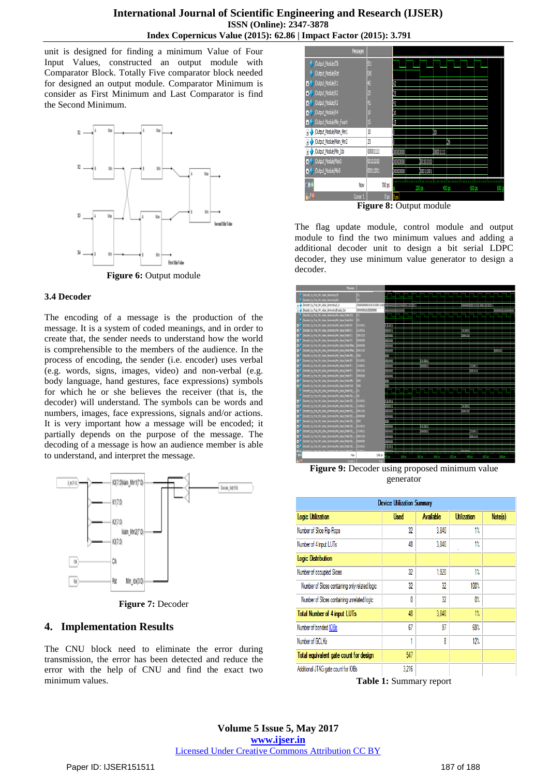unit is designed for finding a minimum Value of Four Input Values, constructed an output module with Comparator Block. Totally Five comparator block needed for designed an output module. Comparator Minimum is consider as First Minimum and Last Comparator is find the Second Minimum.



#### **3.4 Decoder**

The encoding of a message is the production of the message. It is a system of coded meanings, and in order to create that, the sender needs to understand how the world is comprehensible to the members of the audience. In the process of encoding, the sender (i.e. encoder) uses verbal (e.g. words, signs, images, video) and non-verbal (e.g. body language, hand gestures, face expressions) symbols for which he or she believes the receiver (that is, the decoder) will understand. The symbols can be words and numbers, images, face expressions, signals and/or actions. It is very important how a message will be encoded; it partially depends on the purpose of the message. The decoding of a message is how an audience member is able to understand, and interpret the message.



**Figure 7:** Decoder

### **4. Implementation Results**

The CNU block need to eliminate the error during transmission, the error has been detected and reduce the error with the help of CNU and find the exact two minimum values.



The flag update module, control module and output module to find the two minimum values and adding a additional decoder unit to design a bit serial LDPC decoder, they use minimum value generator to design a decoder.



**Figure 9:** Decoder using proposed minimum value generator

| <b>Device Utilization Summary</b> |                  |                    |         |  |  |  |  |  |
|-----------------------------------|------------------|--------------------|---------|--|--|--|--|--|
| <b>Used</b>                       | <b>Available</b> | <b>Utilization</b> | Note(s) |  |  |  |  |  |
| 32                                | 3.840            | 1%                 |         |  |  |  |  |  |
| 48                                | 3,840            | 1%                 |         |  |  |  |  |  |
|                                   |                  |                    |         |  |  |  |  |  |
| 32                                | 1,920            | 1%                 |         |  |  |  |  |  |
| 32                                | 32               | 100%               |         |  |  |  |  |  |
| 0                                 | 32               | 0%                 |         |  |  |  |  |  |
| 48                                | 3,840            | 1%                 |         |  |  |  |  |  |
| 67                                | 97               | 69%                |         |  |  |  |  |  |
|                                   | 8                | 12%                |         |  |  |  |  |  |
| 547                               |                  |                    |         |  |  |  |  |  |
| 3.216                             |                  |                    |         |  |  |  |  |  |
|                                   |                  |                    |         |  |  |  |  |  |

**Table 1:** Summary report